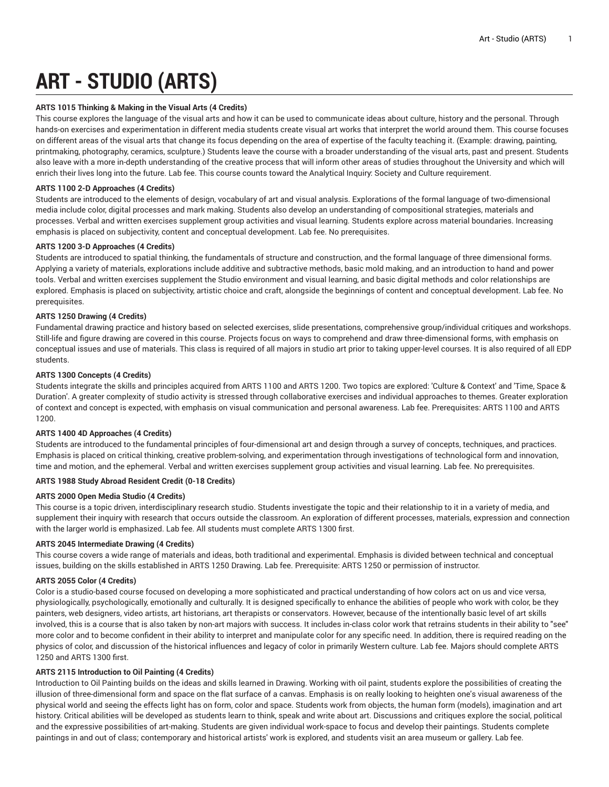# **ART - STUDIO (ARTS)**

# **ARTS 1015 Thinking & Making in the Visual Arts (4 Credits)**

This course explores the language of the visual arts and how it can be used to communicate ideas about culture, history and the personal. Through hands-on exercises and experimentation in different media students create visual art works that interpret the world around them. This course focuses on different areas of the visual arts that change its focus depending on the area of expertise of the faculty teaching it. (Example: drawing, painting, printmaking, photography, ceramics, sculpture.) Students leave the course with a broader understanding of the visual arts, past and present. Students also leave with a more in-depth understanding of the creative process that will inform other areas of studies throughout the University and which will enrich their lives long into the future. Lab fee. This course counts toward the Analytical Inquiry: Society and Culture requirement.

# **ARTS 1100 2-D Approaches (4 Credits)**

Students are introduced to the elements of design, vocabulary of art and visual analysis. Explorations of the formal language of two-dimensional media include color, digital processes and mark making. Students also develop an understanding of compositional strategies, materials and processes. Verbal and written exercises supplement group activities and visual learning. Students explore across material boundaries. Increasing emphasis is placed on subjectivity, content and conceptual development. Lab fee. No prerequisites.

# **ARTS 1200 3-D Approaches (4 Credits)**

Students are introduced to spatial thinking, the fundamentals of structure and construction, and the formal language of three dimensional forms. Applying a variety of materials, explorations include additive and subtractive methods, basic mold making, and an introduction to hand and power tools. Verbal and written exercises supplement the Studio environment and visual learning, and basic digital methods and color relationships are explored. Emphasis is placed on subjectivity, artistic choice and craft, alongside the beginnings of content and conceptual development. Lab fee. No prerequisites.

# **ARTS 1250 Drawing (4 Credits)**

Fundamental drawing practice and history based on selected exercises, slide presentations, comprehensive group/individual critiques and workshops. Still-life and figure drawing are covered in this course. Projects focus on ways to comprehend and draw three-dimensional forms, with emphasis on conceptual issues and use of materials. This class is required of all majors in studio art prior to taking upper-level courses. It is also required of all EDP students.

# **ARTS 1300 Concepts (4 Credits)**

Students integrate the skills and principles acquired from ARTS 1100 and ARTS 1200. Two topics are explored: 'Culture & Context' and 'Time, Space & Duration'. A greater complexity of studio activity is stressed through collaborative exercises and individual approaches to themes. Greater exploration of context and concept is expected, with emphasis on visual communication and personal awareness. Lab fee. Prerequisites: ARTS 1100 and ARTS 1200.

## **ARTS 1400 4D Approaches (4 Credits)**

Students are introduced to the fundamental principles of four-dimensional art and design through a survey of concepts, techniques, and practices. Emphasis is placed on critical thinking, creative problem-solving, and experimentation through investigations of technological form and innovation, time and motion, and the ephemeral. Verbal and written exercises supplement group activities and visual learning. Lab fee. No prerequisites.

# **ARTS 1988 Study Abroad Resident Credit (0-18 Credits)**

# **ARTS 2000 Open Media Studio (4 Credits)**

This course is a topic driven, interdisciplinary research studio. Students investigate the topic and their relationship to it in a variety of media, and supplement their inquiry with research that occurs outside the classroom. An exploration of different processes, materials, expression and connection with the larger world is emphasized. Lab fee. All students must complete ARTS 1300 first.

## **ARTS 2045 Intermediate Drawing (4 Credits)**

This course covers a wide range of materials and ideas, both traditional and experimental. Emphasis is divided between technical and conceptual issues, building on the skills established in ARTS 1250 Drawing. Lab fee. Prerequisite: ARTS 1250 or permission of instructor.

# **ARTS 2055 Color (4 Credits)**

Color is a studio-based course focused on developing a more sophisticated and practical understanding of how colors act on us and vice versa, physiologically, psychologically, emotionally and culturally. It is designed specifically to enhance the abilities of people who work with color, be they painters, web designers, video artists, art historians, art therapists or conservators. However, because of the intentionally basic level of art skills involved, this is a course that is also taken by non-art majors with success. It includes in-class color work that retrains students in their ability to "see" more color and to become confident in their ability to interpret and manipulate color for any specific need. In addition, there is required reading on the physics of color, and discussion of the historical influences and legacy of color in primarily Western culture. Lab fee. Majors should complete ARTS 1250 and ARTS 1300 first.

# **ARTS 2115 Introduction to Oil Painting (4 Credits)**

Introduction to Oil Painting builds on the ideas and skills learned in Drawing. Working with oil paint, students explore the possibilities of creating the illusion of three-dimensional form and space on the flat surface of a canvas. Emphasis is on really looking to heighten one's visual awareness of the physical world and seeing the effects light has on form, color and space. Students work from objects, the human form (models), imagination and art history. Critical abilities will be developed as students learn to think, speak and write about art. Discussions and critiques explore the social, political and the expressive possibilities of art-making. Students are given individual work-space to focus and develop their paintings. Students complete paintings in and out of class; contemporary and historical artists' work is explored, and students visit an area museum or gallery. Lab fee.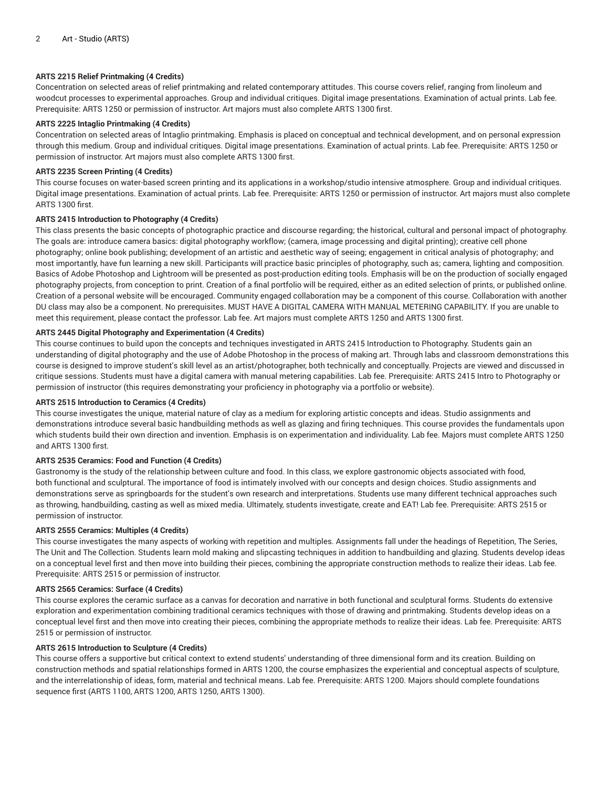# **ARTS 2215 Relief Printmaking (4 Credits)**

Concentration on selected areas of relief printmaking and related contemporary attitudes. This course covers relief, ranging from linoleum and woodcut processes to experimental approaches. Group and individual critiques. Digital image presentations. Examination of actual prints. Lab fee. Prerequisite: ARTS 1250 or permission of instructor. Art majors must also complete ARTS 1300 first.

# **ARTS 2225 Intaglio Printmaking (4 Credits)**

Concentration on selected areas of Intaglio printmaking. Emphasis is placed on conceptual and technical development, and on personal expression through this medium. Group and individual critiques. Digital image presentations. Examination of actual prints. Lab fee. Prerequisite: ARTS 1250 or permission of instructor. Art majors must also complete ARTS 1300 first.

## **ARTS 2235 Screen Printing (4 Credits)**

This course focuses on water-based screen printing and its applications in a workshop/studio intensive atmosphere. Group and individual critiques. Digital image presentations. Examination of actual prints. Lab fee. Prerequisite: ARTS 1250 or permission of instructor. Art majors must also complete ARTS 1300 first.

# **ARTS 2415 Introduction to Photography (4 Credits)**

This class presents the basic concepts of photographic practice and discourse regarding; the historical, cultural and personal impact of photography. The goals are: introduce camera basics: digital photography workflow; (camera, image processing and digital printing); creative cell phone photography; online book publishing; development of an artistic and aesthetic way of seeing; engagement in critical analysis of photography; and most importantly, have fun learning a new skill. Participants will practice basic principles of photography, such as; camera, lighting and composition. Basics of Adobe Photoshop and Lightroom will be presented as post-production editing tools. Emphasis will be on the production of socially engaged photography projects, from conception to print. Creation of a final portfolio will be required, either as an edited selection of prints, or published online. Creation of a personal website will be encouraged. Community engaged collaboration may be a component of this course. Collaboration with another DU class may also be a component. No prerequisites. MUST HAVE A DIGITAL CAMERA WITH MANUAL METERING CAPABILITY. If you are unable to meet this requirement, please contact the professor. Lab fee. Art majors must complete ARTS 1250 and ARTS 1300 first.

# **ARTS 2445 Digital Photography and Experimentation (4 Credits)**

This course continues to build upon the concepts and techniques investigated in ARTS 2415 Introduction to Photography. Students gain an understanding of digital photography and the use of Adobe Photoshop in the process of making art. Through labs and classroom demonstrations this course is designed to improve student's skill level as an artist/photographer, both technically and conceptually. Projects are viewed and discussed in critique sessions. Students must have a digital camera with manual metering capabilities. Lab fee. Prerequisite: ARTS 2415 Intro to Photography or permission of instructor (this requires demonstrating your proficiency in photography via a portfolio or website).

## **ARTS 2515 Introduction to Ceramics (4 Credits)**

This course investigates the unique, material nature of clay as a medium for exploring artistic concepts and ideas. Studio assignments and demonstrations introduce several basic handbuilding methods as well as glazing and firing techniques. This course provides the fundamentals upon which students build their own direction and invention. Emphasis is on experimentation and individuality. Lab fee. Majors must complete ARTS 1250 and ARTS 1300 first.

# **ARTS 2535 Ceramics: Food and Function (4 Credits)**

Gastronomy is the study of the relationship between culture and food. In this class, we explore gastronomic objects associated with food, both functional and sculptural. The importance of food is intimately involved with our concepts and design choices. Studio assignments and demonstrations serve as springboards for the student's own research and interpretations. Students use many different technical approaches such as throwing, handbuilding, casting as well as mixed media. Ultimately, students investigate, create and EAT! Lab fee. Prerequisite: ARTS 2515 or permission of instructor.

# **ARTS 2555 Ceramics: Multiples (4 Credits)**

This course investigates the many aspects of working with repetition and multiples. Assignments fall under the headings of Repetition, The Series, The Unit and The Collection. Students learn mold making and slipcasting techniques in addition to handbuilding and glazing. Students develop ideas on a conceptual level first and then move into building their pieces, combining the appropriate construction methods to realize their ideas. Lab fee. Prerequisite: ARTS 2515 or permission of instructor.

# **ARTS 2565 Ceramics: Surface (4 Credits)**

This course explores the ceramic surface as a canvas for decoration and narrative in both functional and sculptural forms. Students do extensive exploration and experimentation combining traditional ceramics techniques with those of drawing and printmaking. Students develop ideas on a conceptual level first and then move into creating their pieces, combining the appropriate methods to realize their ideas. Lab fee. Prerequisite: ARTS 2515 or permission of instructor.

## **ARTS 2615 Introduction to Sculpture (4 Credits)**

This course offers a supportive but critical context to extend students' understanding of three dimensional form and its creation. Building on construction methods and spatial relationships formed in ARTS 1200, the course emphasizes the experiential and conceptual aspects of sculpture, and the interrelationship of ideas, form, material and technical means. Lab fee. Prerequisite: ARTS 1200. Majors should complete foundations sequence first (ARTS 1100, ARTS 1200, ARTS 1250, ARTS 1300).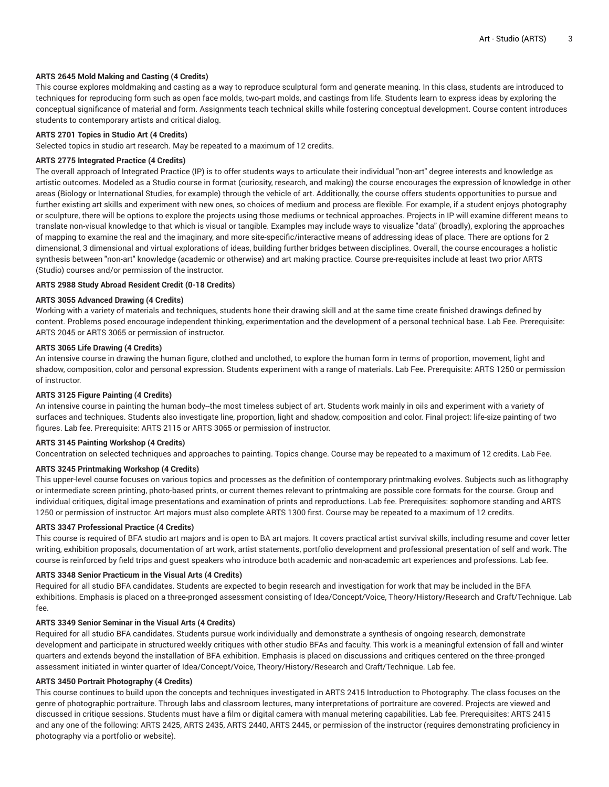# **ARTS 2645 Mold Making and Casting (4 Credits)**

This course explores moldmaking and casting as a way to reproduce sculptural form and generate meaning. In this class, students are introduced to techniques for reproducing form such as open face molds, two-part molds, and castings from life. Students learn to express ideas by exploring the conceptual significance of material and form. Assignments teach technical skills while fostering conceptual development. Course content introduces students to contemporary artists and critical dialog.

## **ARTS 2701 Topics in Studio Art (4 Credits)**

Selected topics in studio art research. May be repeated to a maximum of 12 credits.

## **ARTS 2775 Integrated Practice (4 Credits)**

The overall approach of Integrated Practice (IP) is to offer students ways to articulate their individual "non-art" degree interests and knowledge as artistic outcomes. Modeled as a Studio course in format (curiosity, research, and making) the course encourages the expression of knowledge in other areas (Biology or International Studies, for example) through the vehicle of art. Additionally, the course offers students opportunities to pursue and further existing art skills and experiment with new ones, so choices of medium and process are flexible. For example, if a student enjoys photography or sculpture, there will be options to explore the projects using those mediums or technical approaches. Projects in IP will examine different means to translate non-visual knowledge to that which is visual or tangible. Examples may include ways to visualize "data" (broadly), exploring the approaches of mapping to examine the real and the imaginary, and more site-specific/interactive means of addressing ideas of place. There are options for 2 dimensional, 3 dimensional and virtual explorations of ideas, building further bridges between disciplines. Overall, the course encourages a holistic synthesis between "non-art" knowledge (academic or otherwise) and art making practice. Course pre-requisites include at least two prior ARTS (Studio) courses and/or permission of the instructor.

## **ARTS 2988 Study Abroad Resident Credit (0-18 Credits)**

# **ARTS 3055 Advanced Drawing (4 Credits)**

Working with a variety of materials and techniques, students hone their drawing skill and at the same time create finished drawings defined by content. Problems posed encourage independent thinking, experimentation and the development of a personal technical base. Lab Fee. Prerequisite: ARTS 2045 or ARTS 3065 or permission of instructor.

## **ARTS 3065 Life Drawing (4 Credits)**

An intensive course in drawing the human figure, clothed and unclothed, to explore the human form in terms of proportion, movement, light and shadow, composition, color and personal expression. Students experiment with a range of materials. Lab Fee. Prerequisite: ARTS 1250 or permission of instructor.

## **ARTS 3125 Figure Painting (4 Credits)**

An intensive course in painting the human body--the most timeless subject of art. Students work mainly in oils and experiment with a variety of surfaces and techniques. Students also investigate line, proportion, light and shadow, composition and color. Final project: life-size painting of two figures. Lab fee. Prerequisite: ARTS 2115 or ARTS 3065 or permission of instructor.

## **ARTS 3145 Painting Workshop (4 Credits)**

Concentration on selected techniques and approaches to painting. Topics change. Course may be repeated to a maximum of 12 credits. Lab Fee.

## **ARTS 3245 Printmaking Workshop (4 Credits)**

This upper-level course focuses on various topics and processes as the definition of contemporary printmaking evolves. Subjects such as lithography or intermediate screen printing, photo-based prints, or current themes relevant to printmaking are possible core formats for the course. Group and individual critiques, digital image presentations and examination of prints and reproductions. Lab fee. Prerequisites: sophomore standing and ARTS 1250 or permission of instructor. Art majors must also complete ARTS 1300 first. Course may be repeated to a maximum of 12 credits.

## **ARTS 3347 Professional Practice (4 Credits)**

This course is required of BFA studio art majors and is open to BA art majors. It covers practical artist survival skills, including resume and cover letter writing, exhibition proposals, documentation of art work, artist statements, portfolio development and professional presentation of self and work. The course is reinforced by field trips and guest speakers who introduce both academic and non-academic art experiences and professions. Lab fee.

# **ARTS 3348 Senior Practicum in the Visual Arts (4 Credits)**

Required for all studio BFA candidates. Students are expected to begin research and investigation for work that may be included in the BFA exhibitions. Emphasis is placed on a three-pronged assessment consisting of Idea/Concept/Voice, Theory/History/Research and Craft/Technique. Lab fee.

## **ARTS 3349 Senior Seminar in the Visual Arts (4 Credits)**

Required for all studio BFA candidates. Students pursue work individually and demonstrate a synthesis of ongoing research, demonstrate development and participate in structured weekly critiques with other studio BFAs and faculty. This work is a meaningful extension of fall and winter quarters and extends beyond the installation of BFA exhibition. Emphasis is placed on discussions and critiques centered on the three-pronged assessment initiated in winter quarter of Idea/Concept/Voice, Theory/History/Research and Craft/Technique. Lab fee.

# **ARTS 3450 Portrait Photography (4 Credits)**

This course continues to build upon the concepts and techniques investigated in ARTS 2415 Introduction to Photography. The class focuses on the genre of photographic portraiture. Through labs and classroom lectures, many interpretations of portraiture are covered. Projects are viewed and discussed in critique sessions. Students must have a film or digital camera with manual metering capabilities. Lab fee. Prerequisites: ARTS 2415 and any one of the following: ARTS 2425, ARTS 2435, ARTS 2440, ARTS 2445, or permission of the instructor (requires demonstrating proficiency in photography via a portfolio or website).